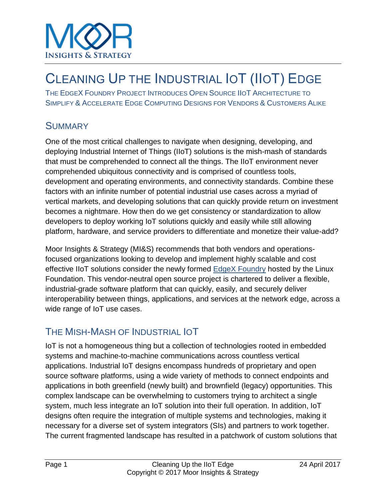

## CLEANING UP THE INDUSTRIAL IOT (IIOT) EDGE

THE EDGEX FOUNDRY PROJECT INTRODUCES OPEN SOURCE IIOT ARCHITECTURE TO SIMPLIFY & ACCELERATE EDGE COMPUTING DESIGNS FOR VENDORS & CUSTOMERS ALIKE

#### **SUMMARY**

One of the most critical challenges to navigate when designing, developing, and deploying Industrial Internet of Things (IIoT) solutions is the mish-mash of standards that must be comprehended to connect all the things. The IIoT environment never comprehended ubiquitous connectivity and is comprised of countless tools, development and operating environments, and connectivity standards. Combine these factors with an infinite number of potential industrial use cases across a myriad of vertical markets, and developing solutions that can quickly provide return on investment becomes a nightmare. How then do we get consistency or standardization to allow developers to deploy working IoT solutions quickly and easily while still allowing platform, hardware, and service providers to differentiate and monetize their value-add?

Moor Insights & Strategy (MI&S) recommends that both vendors and operationsfocused organizations looking to develop and implement highly scalable and cost effective IIoT solutions consider the newly formed [EdgeX Foundry](http://www.edgexfoundry.com/) hosted by the Linux Foundation. This vendor-neutral open source project is chartered to deliver a flexible, industrial-grade software platform that can quickly, easily, and securely deliver interoperability between things, applications, and services at the network edge, across a wide range of IoT use cases.

#### THE MISH-MASH OF INDUSTRIAL IOT

IoT is not a homogeneous thing but a collection of technologies rooted in embedded systems and machine-to-machine communications across countless vertical applications. Industrial IoT designs encompass hundreds of proprietary and open source software platforms, using a wide variety of methods to connect endpoints and applications in both greenfield (newly built) and brownfield (legacy) opportunities. This complex landscape can be overwhelming to customers trying to architect a single system, much less integrate an IoT solution into their full operation. In addition, IoT designs often require the integration of multiple systems and technologies, making it necessary for a diverse set of system integrators (SIs) and partners to work together. The current fragmented landscape has resulted in a patchwork of custom solutions that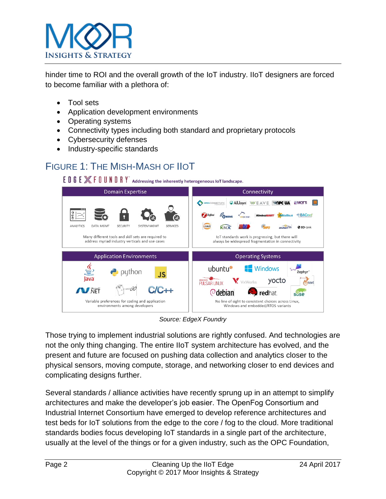

hinder time to ROI and the overall growth of the IoT industry. IIoT designers are forced to become familiar with a plethora of:

- Tool sets
- Application development environments
- Operating systems
- Connectivity types including both standard and proprietary protocols
- Cybersecurity defenses
- Industry-specific standards

#### FIGURE 1: THE MISH-MASH OF IIOT

E D G E  $\mathbb X$  F O U N D R Y Addressing the inherently heterogeneous IoT landscape.



*Source: EdgeX Foundry*

Those trying to implement industrial solutions are rightly confused. And technologies are not the only thing changing. The entire IIoT system architecture has evolved, and the present and future are focused on pushing data collection and analytics closer to the physical sensors, moving compute, storage, and networking closer to end devices and complicating designs further.

Several standards / alliance activities have recently sprung up in an attempt to simplify architectures and make the developer's job easier. The OpenFog Consortium and Industrial Internet Consortium have emerged to develop reference architectures and test beds for IoT solutions from the edge to the core / fog to the cloud. More traditional standards bodies focus developing IoT standards in a single part of the architecture, usually at the level of the things or for a given industry, such as the OPC Foundation,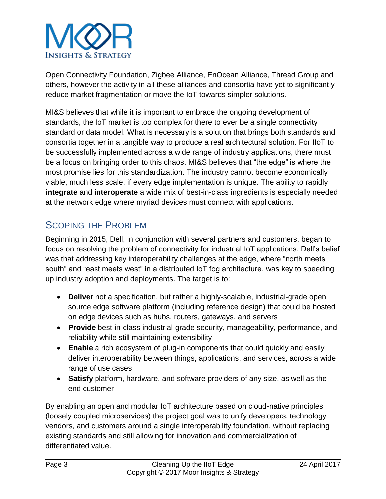

Open Connectivity Foundation, Zigbee Alliance, EnOcean Alliance, Thread Group and others, however the activity in all these alliances and consortia have yet to significantly reduce market fragmentation or move the IoT towards simpler solutions.

MI&S believes that while it is important to embrace the ongoing development of standards, the IoT market is too complex for there to ever be a single connectivity standard or data model. What is necessary is a solution that brings both standards and consortia together in a tangible way to produce a real architectural solution. For IIoT to be successfully implemented across a wide range of industry applications, there must be a focus on bringing order to this chaos. MI&S believes that "the edge" is where the most promise lies for this standardization. The industry cannot become economically viable, much less scale, if every edge implementation is unique. The ability to rapidly **integrate** and **interoperate** a wide mix of best-in-class ingredients is especially needed at the network edge where myriad devices must connect with applications.

## SCOPING THE PROBLEM

Beginning in 2015, Dell, in conjunction with several partners and customers, began to focus on resolving the problem of connectivity for industrial IoT applications. Dell's belief was that addressing key interoperability challenges at the edge, where "north meets south" and "east meets west" in a distributed IoT fog architecture, was key to speeding up industry adoption and deployments. The target is to:

- **Deliver** not a specification, but rather a highly-scalable, industrial-grade open source edge software platform (including reference design) that could be hosted on edge devices such as hubs, routers, gateways, and servers
- **Provide** best-in-class industrial-grade security, manageability, performance, and reliability while still maintaining extensibility
- **Enable** a rich ecosystem of plug-in components that could quickly and easily deliver interoperability between things, applications, and services, across a wide range of use cases
- **Satisfy** platform, hardware, and software providers of any size, as well as the end customer

By enabling an open and modular IoT architecture based on cloud-native principles (loosely coupled microservices) the project goal was to unify developers, technology vendors, and customers around a single interoperability foundation, without replacing existing standards and still allowing for innovation and commercialization of differentiated value.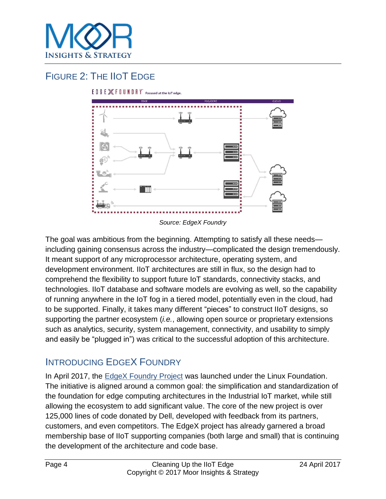

## FIGURE 2: THE IIOT EDGE



EDGE XFOUNDRY Focused at the IoT edge.

The goal was ambitious from the beginning. Attempting to satisfy all these needs including gaining consensus across the industry—complicated the design tremendously. It meant support of any microprocessor architecture, operating system, and development environment. IIoT architectures are still in flux, so the design had to comprehend the flexibility to support future IoT standards, connectivity stacks, and technologies. IIoT database and software models are evolving as well, so the capability of running anywhere in the IoT fog in a tiered model, potentially even in the cloud, had to be supported. Finally, it takes many different "pieces" to construct IIoT designs, so supporting the partner ecosystem (*i.e.*, allowing open source or proprietary extensions such as analytics, security, system management, connectivity, and usability to simply and easily be "plugged in") was critical to the successful adoption of this architecture.

#### INTRODUCING EDGEX FOUNDRY

In April 2017, the EdgeX [Foundry Project](http://www.edgexfoundry.com/) was launched under the Linux Foundation. The initiative is aligned around a common goal: the simplification and standardization of the foundation for edge computing architectures in the Industrial IoT market, while still allowing the ecosystem to add significant value. The core of the new project is over 125,000 lines of code donated by Dell, developed with feedback from its partners, customers, and even competitors. The EdgeX project has already garnered a broad membership base of IIoT supporting companies (both large and small) that is continuing the development of the architecture and code base.

*Source: EdgeX Foundry*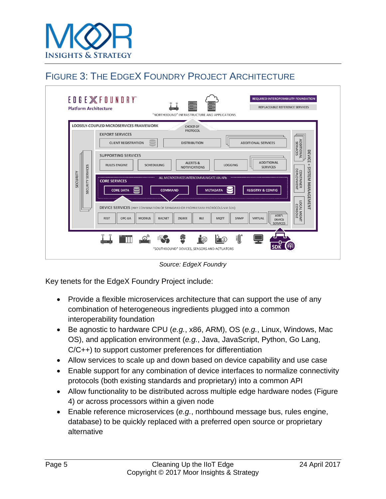

## FIGURE 3: THE EDGEX FOUNDRY PROJECT ARCHITECTURE



*Source: EdgeX Foundry*

Key tenets for the EdgeX Foundry Project include:

- Provide a flexible microservices architecture that can support the use of any combination of heterogeneous ingredients plugged into a common interoperability foundation
- Be agnostic to hardware CPU (*e.g.*, x86, ARM), OS (*e.g.*, Linux, Windows, Mac OS), and application environment (*e.g.*, Java, JavaScript, Python, Go Lang, C/C++) to support customer preferences for differentiation
- Allow services to scale up and down based on device capability and use case
- Enable support for any combination of device interfaces to normalize connectivity protocols (both existing standards and proprietary) into a common API
- Allow functionality to be distributed across multiple edge hardware nodes (Figure 4) or across processors within a given node
- Enable reference microservices (*e.g.*, northbound message bus, rules engine, database) to be quickly replaced with a preferred open source or proprietary alternative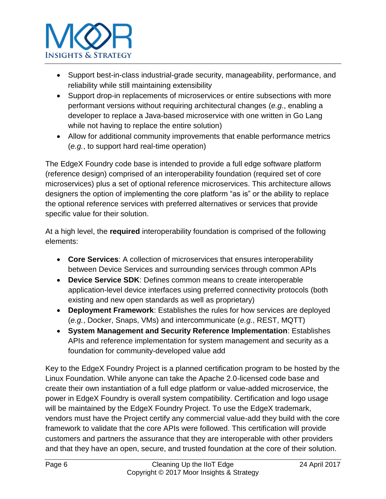

- Support best-in-class industrial-grade security, manageability, performance, and reliability while still maintaining extensibility
- Support drop-in replacements of microservices or entire subsections with more performant versions without requiring architectural changes (*e.g.*, enabling a developer to replace a Java-based microservice with one written in Go Lang while not having to replace the entire solution)
- Allow for additional community improvements that enable performance metrics (*e.g.*, to support hard real-time operation)

The EdgeX Foundry code base is intended to provide a full edge software platform (reference design) comprised of an interoperability foundation (required set of core microservices) plus a set of optional reference microservices. This architecture allows designers the option of implementing the core platform "as is" or the ability to replace the optional reference services with preferred alternatives or services that provide specific value for their solution.

At a high level, the **required** interoperability foundation is comprised of the following elements:

- **Core Services**: A collection of microservices that ensures interoperability between Device Services and surrounding services through common APIs
- **Device Service SDK**: Defines common means to create interoperable application-level device interfaces using preferred connectivity protocols (both existing and new open standards as well as proprietary)
- **Deployment Framework**: Establishes the rules for how services are deployed (*e.g.*, Docker, Snaps, VMs) and intercommunicate (*e.g.*, REST, MQTT)
- **System Management and Security Reference Implementation**: Establishes APIs and reference implementation for system management and security as a foundation for community-developed value add

Key to the EdgeX Foundry Project is a planned certification program to be hosted by the Linux Foundation. While anyone can take the Apache 2.0-licensed code base and create their own instantiation of a full edge platform or value-added microservice, the power in EdgeX Foundry is overall system compatibility. Certification and logo usage will be maintained by the EdgeX Foundry Project. To use the EdgeX trademark, vendors must have the Project certify any commercial value-add they build with the core framework to validate that the core APIs were followed. This certification will provide customers and partners the assurance that they are interoperable with other providers and that they have an open, secure, and trusted foundation at the core of their solution.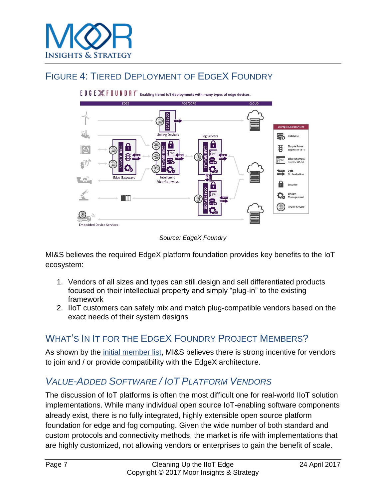

#### FIGURE 4: TIERED DEPLOYMENT OF EDGEX FOUNDRY



EDGE XFOUNDRY enabling tiered IoT deployments with many types of edge devices.

*Source: EdgeX Foundry*

MI&S believes the required EdgeX platform foundation provides key benefits to the IoT ecosystem:

- 1. Vendors of all sizes and types can still design and sell differentiated products focused on their intellectual property and simply "plug-in" to the existing framework
- 2. IIoT customers can safely mix and match plug-compatible vendors based on the exact needs of their system designs

## WHAT'S IN IT FOR THE EDGEX FOUNDRY PROJECT MEMBERS?

As shown by the [initial member list,](http://www.edgexfoundry.com/about/members/) MI&S believes there is strong incentive for vendors to join and / or provide compatibility with the EdgeX architecture.

## *VALUE-ADDED SOFTWARE / IOT PLATFORM VENDORS*

The discussion of IoT platforms is often the most difficult one for real-world IIoT solution implementations. While many individual open source IoT-enabling software components already exist, there is no fully integrated, highly extensible open source platform foundation for edge and fog computing. Given the wide number of both standard and custom protocols and connectivity methods, the market is rife with implementations that are highly customized, not allowing vendors or enterprises to gain the benefit of scale.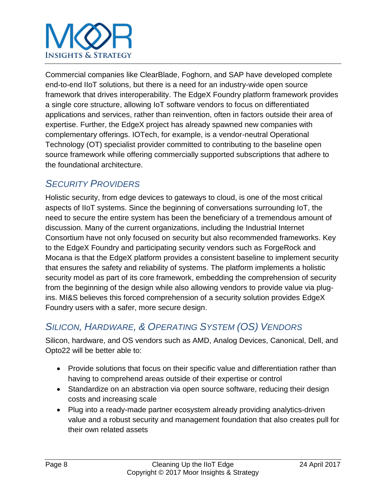# **INSIGHTS & STRATEGY**

Commercial companies like ClearBlade, Foghorn, and SAP have developed complete end-to-end IIoT solutions, but there is a need for an industry-wide open source framework that drives interoperability. The EdgeX Foundry platform framework provides a single core structure, allowing IoT software vendors to focus on differentiated applications and services, rather than reinvention, often in factors outside their area of expertise. Further, the EdgeX project has already spawned new companies with complementary offerings. IOTech, for example, is a vendor-neutral Operational Technology (OT) specialist provider committed to contributing to the baseline open source framework while offering commercially supported subscriptions that adhere to the foundational architecture.

## *SECURITY PROVIDERS*

Holistic security, from edge devices to gateways to cloud, is one of the most critical aspects of IIoT systems. Since the beginning of conversations surrounding IoT, the need to secure the entire system has been the beneficiary of a tremendous amount of discussion. Many of the current organizations, including the Industrial Internet Consortium have not only focused on security but also recommended frameworks. Key to the EdgeX Foundry and participating security vendors such as ForgeRock and Mocana is that the EdgeX platform provides a consistent baseline to implement security that ensures the safety and reliability of systems. The platform implements a holistic security model as part of its core framework, embedding the comprehension of security from the beginning of the design while also allowing vendors to provide value via plugins. MI&S believes this forced comprehension of a security solution provides EdgeX Foundry users with a safer, more secure design.

## *SILICON, HARDWARE, & OPERATING SYSTEM (OS) VENDORS*

Silicon, hardware, and OS vendors such as AMD, Analog Devices, Canonical, Dell, and Opto22 will be better able to:

- Provide solutions that focus on their specific value and differentiation rather than having to comprehend areas outside of their expertise or control
- Standardize on an abstraction via open source software, reducing their design costs and increasing scale
- Plug into a ready-made partner ecosystem already providing analytics-driven value and a robust security and management foundation that also creates pull for their own related assets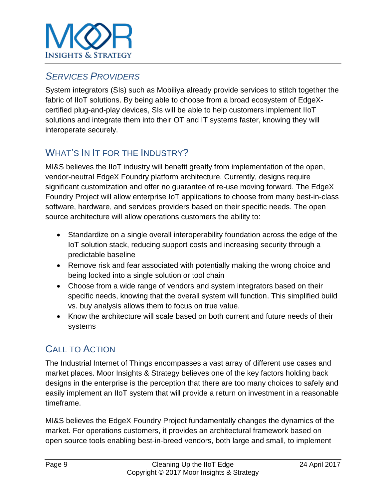

#### *SERVICES PROVIDERS*

System integrators (SIs) such as Mobiliya already provide services to stitch together the fabric of IIoT solutions. By being able to choose from a broad ecosystem of EdgeXcertified plug-and-play devices, SIs will be able to help customers implement IIoT solutions and integrate them into their OT and IT systems faster, knowing they will interoperate securely.

## WHAT'S IN IT FOR THE INDUSTRY?

MI&S believes the IIoT industry will benefit greatly from implementation of the open, vendor-neutral EdgeX Foundry platform architecture. Currently, designs require significant customization and offer no guarantee of re-use moving forward. The EdgeX Foundry Project will allow enterprise IoT applications to choose from many best-in-class software, hardware, and services providers based on their specific needs. The open source architecture will allow operations customers the ability to:

- Standardize on a single overall interoperability foundation across the edge of the IoT solution stack, reducing support costs and increasing security through a predictable baseline
- Remove risk and fear associated with potentially making the wrong choice and being locked into a single solution or tool chain
- Choose from a wide range of vendors and system integrators based on their specific needs, knowing that the overall system will function. This simplified build vs. buy analysis allows them to focus on true value.
- Know the architecture will scale based on both current and future needs of their systems

## CALL TO ACTION

The Industrial Internet of Things encompasses a vast array of different use cases and market places. Moor Insights & Strategy believes one of the key factors holding back designs in the enterprise is the perception that there are too many choices to safely and easily implement an IIoT system that will provide a return on investment in a reasonable timeframe.

MI&S believes the EdgeX Foundry Project fundamentally changes the dynamics of the market. For operations customers, it provides an architectural framework based on open source tools enabling best-in-breed vendors, both large and small, to implement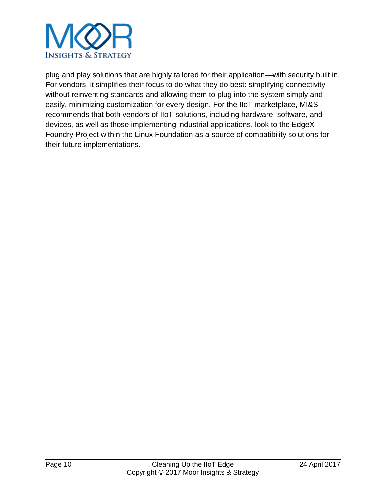

plug and play solutions that are highly tailored for their application—with security built in. For vendors, it simplifies their focus to do what they do best: simplifying connectivity without reinventing standards and allowing them to plug into the system simply and easily, minimizing customization for every design. For the IIoT marketplace, MI&S recommends that both vendors of IIoT solutions, including hardware, software, and devices, as well as those implementing industrial applications, look to the EdgeX Foundry Project within the Linux Foundation as a source of compatibility solutions for their future implementations.